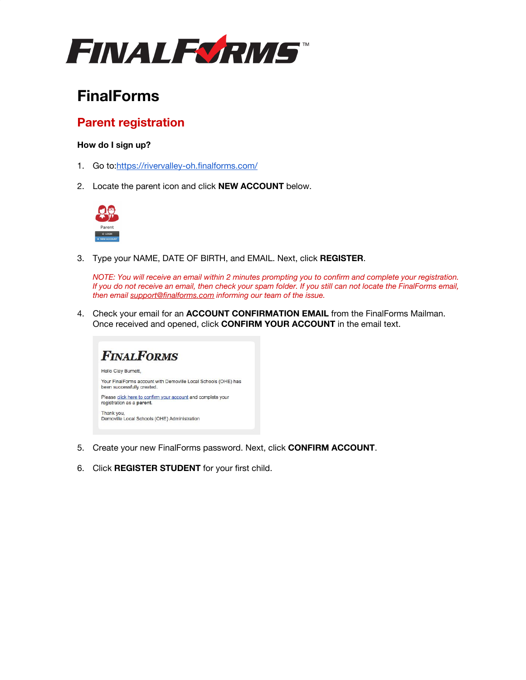

# **FinalForms**

## **Parent registration**

### **How do I sign up?**

- 1. Go to:<https://rivervalley-oh.finalforms.com/>
- 2. Locate the parent icon and click **NEW ACCOUNT** below.



3. Type your NAME, DATE OF BIRTH, and EMAIL. Next, click **REGISTER**.

*NOTE: You will receive an email within 2 minutes prompting you to confirm and complete your registration. If you do not receive an email, then check your spam folder. If you still can not locate the FinalForms email, then email [support@finalforms.com](mailto:support@finalforms.com) informing our team of the issue.*

4. Check your email for an **ACCOUNT CONFIRMATION EMAIL** from the FinalForms Mailman. Once received and opened, click **CONFIRM YOUR ACCOUNT** in the email text.



- 5. Create your new FinalForms password. Next, click **CONFIRM ACCOUNT**.
- 6. Click **REGISTER STUDENT** for your first child.